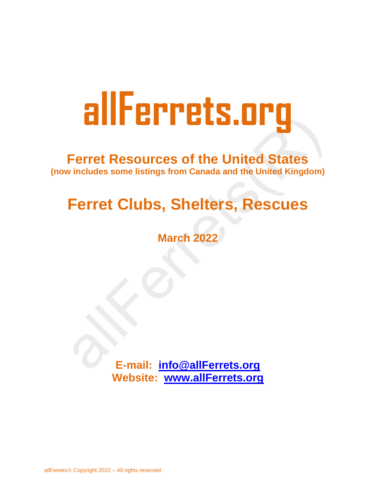# **Ferret Resources of the United States (now includes some listings from Canada and the United Kingdom)**

# **Ferret Clubs, Shelters, Rescues**

**March 2022**

**E-mail: [info@allFerrets.org](mailto:info@allFerrets.org) Website: [www.allFerrets.org](http://www.allferrets.org/)**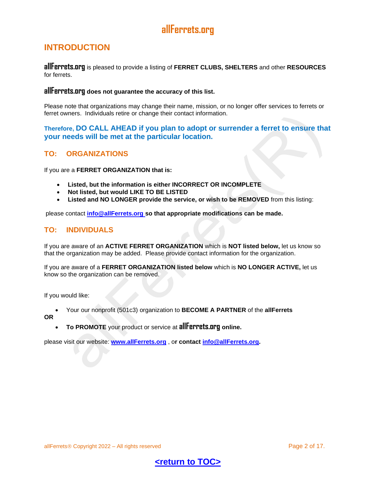# <span id="page-1-0"></span>**INTRODUCTION**

**allFerrets.org** is pleased to provide a listing of **FERRET CLUBS, SHELTERS** and other **RESOURCES** for ferrets.

#### **allFerrets.org does not guarantee the accuracy of this list.**

Please note that organizations may change their name, mission, or no longer offer services to ferrets or ferret owners. Individuals retire or change their contact information.

#### **Therefore, DO CALL AHEAD if you plan to adopt or surrender a ferret to ensure that your needs will be met at the particular location.**

#### **TO: ORGANIZATIONS**

If you are a **FERRET ORGANIZATION that is:** 

- **Listed, but the information is either INCORRECT OR INCOMPLETE**
- **Not listed, but would LIKE TO BE LISTED**
- **Listed and NO LONGER provide the service, or wish to be REMOVED** from this listing:

please contact **[info@allFerrets.org](mailto:info@allFerrets.org) so that appropriate modifications can be made.** 

#### **TO: INDIVIDUALS**

If you are aware of an **ACTIVE FERRET ORGANIZATION** which is **NOT listed below,** let us know so that the organization may be added. Please provide contact information for the organization.

If you are aware of a **FERRET ORGANIZATION listed below** which is **NO LONGER ACTIVE,** let us know so the organization can be removed.

If you would like:

- Your our nonprofit (501c3) organization to **BECOME A PARTNER** of the **allFerrets**
- **OR**
- **To PROMOTE** your product or service at **allFerrets.org online.**

please visit our website: **[www.allFerrets.org](http://www.allferrets.org/)** , o**r contact [info@allFerrets.org.](mailto:info@allFerrets.org)** 

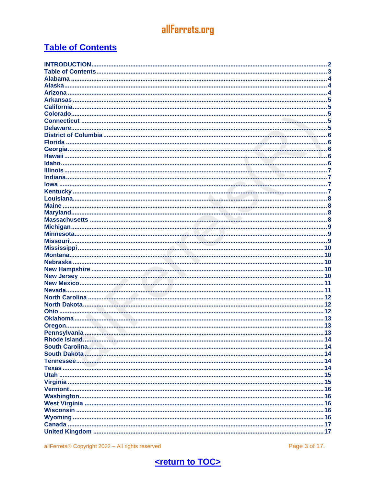# <span id="page-2-0"></span>**Table of Contents**

Page 3 of 17.

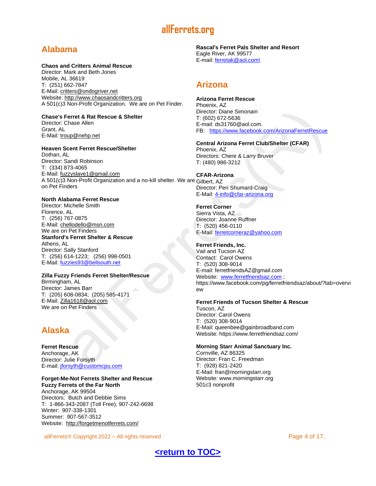# <span id="page-3-0"></span>**Alabama**

#### **Chaos and Critters Animal Rescue**

Director: Mark and Beth Jones Mobile, AL 36619 T: (251) 662-7847 E-Mail: [critters@ondogriver.net](mailto:critters@ondogriver.net) Website: [http://www.chaosandcritters.org](http://www.chaosandcritters.org/) A 501(c)3 Non-Profit Organization. We are on Pet Finder.

#### **Chase's Ferret & Rat Rescue & Shelter**

Director: Chase Allen Grant, AL E-Mail: [troup@nehp.net](mailto:troup@nehp.net)

#### **Heaven Scent Ferret Rescue/Shelter**

Dothan, AL Director: Sandi Robinson T: (334) 873-4065 E-Mail: [fuzzyslave1@gmail.com](mailto:fuzzyslave1@gmail.com) A 501(c)3 Non-Profit Organization and a no-kill shelter. We are Gilbert, AZ on Pet Finders

#### **North Alabama Ferret Rescue**

Director: Michelle Smith Florence, AL T: (256) 767-0875 E-Mail: [chellodello@msn.com](mailto:chellodello@msn.com) We are on Pet Finders **Stanford's Ferret Shelter & Rescue** Athens, AL Director: Sally Stanford T: (256) 614-1223; (256) 998-0501 E-Mail: [fuzzies93@bellsouth.net](mailto:fuzzies93@bellsouth.net)

#### **Zilla Fuzzy Friends Ferret Shelter/Rescue**

Birmingham, AL Director: James Barr T: (205) 608-0834; (205) 585-4171 E-Mail: [Zilla1618@aol.com](mailto:Zilla1618@aol.com) We are on Pet Finders

# <span id="page-3-1"></span>**Alaska**

**Ferret Rescue** Anchorage, AK Director: Julie Forsyth E-mail: [jforsyth@customcpu.com](mailto:jforsyth@customcpu.com)

#### **Forget-Me-Not Ferrets Shelter and Rescue Fuzzy Ferrets of the Far North**

Anchorage, AK 99504 Directors: Butch and Debbie Sims T: 1-866-343-2087 (Toll Free); 907-242-6698 Winter: 907-338-1301 Summer: 907-567-3512 Website:<http://forgetmenotferrets.com/>

**Rascal's Ferret Pals Shelter and Resort** Eagle River, AK 99577 E-mail: [ferretak@aol.com\](mailto:ferretak@aol.com/)

# <span id="page-3-2"></span>**Arizona**

**Arizona Ferret Rescue** Phoenix, AZ Director: Diane Simonain T: (602) 672-5636 E-mail: ds31760@aol.com. FB: <https://www.facebook.com/ArizonaFerretRescue>

## **Central Arizona Ferret Club/Shelter (CFAR)**

Phoenix, AZ Directors: Chere & Larry Bruver T: (480) 986-3212

**CFAR-Arizona** Director: Peri Shumard-Craig E-Mail: [4-info@cfar-arizona.org](mailto:4-info@cfar-arizona.org)

#### **Ferret Corner** Sierra Vista, AZ Director: Joanne Ruffner T: (520) 456-0110

E-Mail: [ferretcorneraz@yahoo.com](mailto:ferretcorneraz@yahoo.com)

#### **Ferret Friends, Inc.**

Vail and Tucson AZ Contact: Carol Owens T: (520) 308-9014 E-mail: ferretfriendsAZ@gmail.com Website: [www.ferretfriendsaz.com](http://www.ferretfriendsaz.com/); https://www.facebook.com/pg/ferretfriendsaz/about/?tab=overvi ew

#### **Ferret Friends of Tucson Shelter & Rescue**

Tuscon, AZ Director: Carol Owens T: (520) 308-9014 E-Mail: [queenbee@gainbroadband.com](mailto:queenbee@gainbroadband.com) Website: https://www.ferretfriendsaz.com/

#### **Morning Starr Animal Sanctuary Inc.**

Cornville, AZ 86325 Director: Fran C. Freedman T: (928) 821-2420 E-Mail: [fran@morningstarr.org](mailto:fran@morningstarr.org) Website: [www.morningstarr.org](http://www.morningstarr.org/) 501c3 nonprofit

allFerrets © Copyright 2022 – All rights reserved **Page 4 of 17.** All rights reserved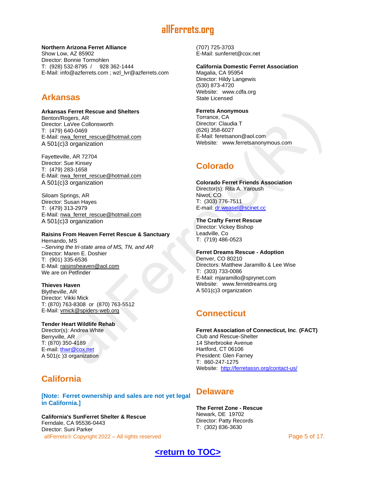#### **Northern Arizona Ferret Alliance**

Show Low, AZ 85902 Director: Bonnie Tormohlen T: (928) 532-8795 / 928 362-1444 E-Mail: [info@azferrets.com](mailto:info@azferrets.com) ; wzl\_lvr@azferrets.com

# <span id="page-4-0"></span>**Arkansas**

**Arkansas Ferret Rescue and Shelters** Benton/Rogers, AR Director: LaVee Collonsworth T: (479) 640-0469 E-Mail: [nwa\\_ferret\\_rescue@hotmail.com](mailto:nwa_ferret_rescue@hotmail.com) A 501(c)3 organization

Fayetteville, AR 72704 Director: Sue Kinsey T: (479) 283-1658 E-Mail: [nwa\\_ferret\\_rescue@hotmail.com](mailto:nwa_ferret_rescue@hotmail.com) A 501(c)3 organization

Siloam Springs, AR Director: Susan Hayes T: (479) 313-2979 E-Mail: [nwa\\_ferret\\_rescue@hotmail.com](mailto:nwa_ferret_rescue@hotmail.com) A 501(c)3 organization

## **Raisins From Heaven Ferret Rescue & Sanctuary**

Hernando, MS --*Serving the tri-state area of MS, TN, and AR* Director: Maren E. Doshier T: (901) 335-6536 E-Mail: [raisinsheaven@aol.com](mailto:raisinsheaven@aol.com) We are on Petfinder

#### **Thieves Haven**

Blytheville, AR Director: Vikki Mick T: (870) 763-8308 or (870) 763-5512 E-Mail: [vmick@spiders-web.org](mailto:vmick@spiders-web.org)

#### **Tender Heart Wildlife Rehab** Director(s): Andrea White

Berryville, AR T: (870) 350-4189 E-mail: [thwr@cox.net](mailto:thwr@cox.net) A 501(c )3 organization

# <span id="page-4-1"></span>**California**

**[Note: Ferret ownership and sales are not yet legal in California.]** 

allFerrets © Copyright 2022 – All rights reserved **Page 5 of 17.** All rights reserved **California's SunFerret Shelter & Rescue** Ferndale, CA 95536-0443 Director: Suni Parker

(707) 725-3703 E-Mail: [sunferret@cox.net](mailto:sunferret@cox.net)

#### **California Domestic Ferret Association**

Magalia, CA 95954 Director: Hildy Langewis (530) 873-4720 Website: [www.cdfa.org](http://www.cdfa.org/) State Licensed

#### **Ferrets Anonymous**

Torrance, CA Director: Claudia T (626) 358-6027 E-Mail: [feretsanon@aol.com](mailto:feretsanon@aol.com) Website: [www.ferretsanonymous.com](http://www.ferretsanonymous.com/)

# <span id="page-4-2"></span>**Colorado**

**Colorado Ferret Friends Association** Director(s): Rita A. Yaroush Niwot, CO T: (303) 776-7511 E-mail: [dr.weasel@scinet.cc](mailto:dr.weasel@scinet.cc)

**The Crafty Ferret Rescue** Director: Vickey Bishop Leadville, Co T: (719) 486-0523

**Ferret Dreams Rescue - Adoption** Denver, CO 80210 Directors: Matthew Jaramillo & Lee Wise T: (303) 733-0086 E-Mail: [mjaramillo@sprynet.com](mailto:mjaramillo@sprynet.com) Website: [www.ferretdreams.org](http://www.ferretdreams.org/) A 501(c)3 organization

# <span id="page-4-3"></span>**Connecticut**

**Ferret Association of Connecticut, Inc**. **(FACT)** Club and Rescue-Shelter 14 Sherbrooke Avenue Hartford, CT 06106 President: Glen Farney T: 860-247-1275 Website:<http://ferretassn.org/contact-us/>

# <span id="page-4-4"></span>**Delaware**

**The Ferret Zone - Rescue**  Newark, DE 19702 Director: Patty Records T: (302) 836-3630

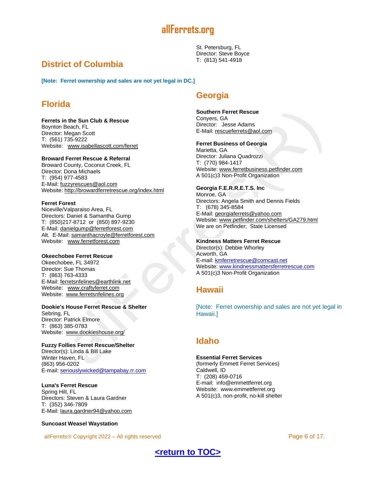

St. Petersburg, FL Director: Steve Boyce T: (813) 541-4918

# <span id="page-5-0"></span>**District of Columbia**

**[Note: Ferret ownership and sales are not yet legal in DC.]**

# <span id="page-5-1"></span>**Florida**

#### **Ferrets in the Sun Club & Rescue**

Boynton Beach, FL Director: Megan Scott T: (561) 735-9222 Website: [www.isabellascott.com/ferret](http://www.isabellascott.com/ferret)

#### **Broward Ferret Rescue & Referral**

Broward County, Coconut Creek, FL Director: Dona Michaels T: (954) 977-4583 E-Mail: [fuzzyrescues@aol.com](mailto:fuzzyrescues@aol.com) Website: <http://browardferretrescue.org/index.html>

#### **Ferret Forest**

Niceville/Valparaiso Area, FL Directors: Daniel & Samantha Gump T: (850)217-8712 or (850) 897-9230 E-Mail: [danielgump@ferretforest.com](mailto:danielgump@ferretforest.com) Alt. E-Mail: [samanthacroyle@ferretforest.com](mailto:samanthacroyle@ferretforest.com) Website: [www.ferretforest.com](http://www.ferretforest.com/)

#### **Okeechobee Ferret Rescue**

Okeechobee, FL 34972 Director: Sue Thomas T: (863) 763-4333 E-Mail: [ferretsnfelines@earthlink.net](mailto:ferretsnfelines@earthlink.net) Website: [www.craftyferret.com](http://www.craftyferret.com/) Website: [www.ferretsnfelines.org](http://www.ferretsnfelines.org/)

#### **Dookie's House Ferret Rescue & Shelter**

Sebring, FL Director: Patrick Elmore T: (863) 385-0783 Website: [www.dookieshouse.org/](http://www.dookieshouse.org/)

#### **Fuzzy Follies Ferret Rescue/Shelter**

Director(s): Linda & Bill Lake Winter Haven, FL (863) 956-0202 E-mail: [seriouslywicked@tampabay.rr.com](mailto:seriouslywicked@tampabay.rr.com)

#### **Luna's Ferret Rescue**

Spring Hill, FL Directors: Steven & Laura Gardner T: (352) 346-7809 E-Mail: [laura.gardner94@yahoo.com](mailto:laura.gardner94@yahoo.com)

#### **Suncoast Weasel Waystation**

allFerrets © Copyright 2022 – All rights reserved **Page 6 of 17.** All rights reserved

# <span id="page-5-2"></span>**Georgia**

#### **Southern Ferret Rescue**

Conyers, GA Director: Jesse Adams E-Mail: [rescueferrets@aol.com](mailto:rescueferrets@aol.com)

#### **Ferret Business of Georgia**

Marietta, GA Director: Juliana Quadrozzi T: (770) 984-1417 Website: [www.ferretbusiness.petfinder.com](http://www.ferretbusiness.petfinder.com/) A 501(c)3 Non-Profit Organization

#### **Georgia F.E.R.R.E.T.S. Inc**

Monroe, GA Directors: Angela Smith and Dennis Fields T: (678) 345-8584 E-Mail: [georgiaferrets@yahoo.com](mailto:georgiaferrets@yahoo.com) Website: [www.petfinder.com/shelters/GA279.html](http://www.petfinder.com/shelters/GA279.html) We are on Petfinder; State Licensed

#### **Kindness Matters Ferret Rescue**

Director(s): Debbie Whorley Acworth, GA E-mail: **kmferretrescue@comcast.net** Website: [www.kindnessmattersferretrescue.com](http://www.kindnessmattersferretrescue.com/) A 501(c)3 Non-Profit Organization

## <span id="page-5-3"></span>**Hawaii**

[Note: Ferret ownership and sales are not yet legal in Hawaii.]

## <span id="page-5-4"></span>**Idaho**

#### **Essential Ferret Services**

(formerly Emmett Ferret Services) Caldwell, ID T: (208) 459-0716 E-mail: info@emmettferret.org Website: www.emmettferret.org A 501(c)3, non-profit, no-kill shelter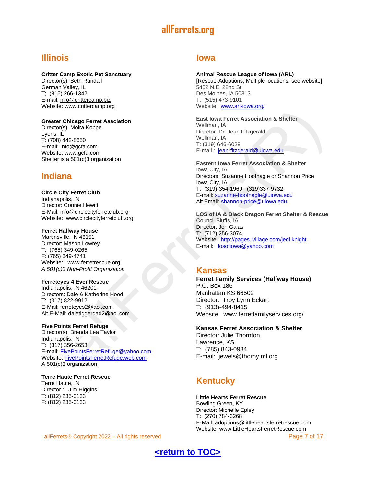# <span id="page-6-0"></span>**Illinois**

#### **Critter Camp Exotic Pet Sanctuary**

Director(s): Beth Randall German Valley, IL T; (815) 266-1342 E-mail: [info@crittercamp.biz](mailto:info@crittercamp.biz) Website: [www.crittercamp.org](http://www.crittercamp.org/)

#### **Greater Chicago Ferret Assciation**

Director(s): Moira Koppe Lyons, IL T: (708) 442-8650 E-mail: [Info@gcfa.com](mailto:Info@gcfa.com) Website: [www.gcfa.com](http://www.gcfa.com/) Shelter is a 501(c)3 organization

# <span id="page-6-1"></span>**Indiana**

#### **Circle City Ferret Club**

Indianapolis, IN Director: Connie Hewitt E-Mail: [info@circlecityferretclub.org](mailto:%20info@circlecityferretclub.org) Website: [www.circlecityferretclub.org](http://www.circlecityferretclub.org/)

#### **Ferret Halfway House**

Martinsville, IN 46151 Director: Mason Lowrey T: (765) 349-0265 F: (765) 349-4741 Website: [www.ferretrescue.org](http://www.ferretrescue.org/) *A 501(c)3 Non-Profit Organization*

#### **Ferreteyes 4 Ever Rescue**

Indianapolis, IN 46201 Directors: Dale & Katherine Hood T: (317) 822-9912 E-Mail: [ferreteyes2@aol.com](mailto:ferreteyes2@aol.com) Alt E-Mail: [daletiggerdad2@aol.com](mailto:daletiggerdad2@aol.com)

#### **Five Points Ferret Refuge**

Director(s): Brenda Lea Taylor Indianapolis, IN T: (317) 356-2653 E-mail: [FivePointsFerretRefuge@yahoo.com](mailto:FivePointsFerretRefuge@yahoo.com) Website: [FivePointsFerretRefuge.web.com](http://fivepointsferretrefuge.web.com/) A 501(c)3 organization

**Terre Haute Ferret Rescue** Terre Haute, IN Director : Jim Higgins T: (812) 235-0133 F: (812) 235-0133

#### allFerrets © Copyright 2022 – All rights reserved **Page 7 of 17.** All rights reserved

## <span id="page-6-2"></span>**Iowa**

#### **Animal Rescue League of Iowa (ARL)**

[Rescue-Adoptions; Multiple locations: see website] 5452 N.E. 22nd St Des Moines, IA 50313 T: (515) 473-9101 Website: [www.arl-iowa.org/](http://www.arl-iowa.org/)

#### **East Iowa Ferret Association & Shelter**

Wellman, IA Director: Dr. Jean Fitzgerald Wellman, IA T: (319) 646-6028 E-mail: [jean-fitzgerald@uiowa.edu](mailto:jean-fitzgerald@uiowa.edu)

**Eastern Iowa Ferret Association & Shelter** Iowa City, IA Directors: Suzanne Hoofnagle or Shannon Price Iowa City, IA T: (319)-354-1969; (319)337-9732 E-mail: [suzanne-hoofnagle@uiowa.edu](mailto:suzanne-hoofnagle@uiowa.edu) Alt Email: [shannon-price@uiowa.edu](mailto:shannon-price@uiowa.edu)

**LOS of IA & Black Dragon Ferret Shelter & Rescue** Council Bluffs, IA Director: Jen Galas T: (712) 256-3074 Website: [http://pages.ivillage.com/jedi.knight](http://kristenmcdonald.com/portfolio/web/ferretfacts/external.html?link=http://pages.ivillage.com/jedi.knight) E-mail: [losofiowa@yahoo.com](mailto:losofiowa@yahoo.com)

#### **Kansas**

**Ferret Family Services (Halfway House)**  P.O. Box 186 Manhattan KS 66502 Director: Troy Lynn Eckart T: (913)-494-8415 Website: www.ferretfamilyservices.org/

#### **Kansas Ferret Association & Shelter**

Director: Julie Thornton Lawrence, KS T: (785) 843-0934 E-mail: jewels@thorny.ml.org

# <span id="page-6-3"></span>**Kentucky**

**Little Hearts Ferret Rescue** Bowling Green, KY Director: Michelle Epley T: (270) 784-3268 E-Mail: [adoptions@littleheartsferretrescue.com](mailto:adoptions@littleheartsferretrescue.com) Website: [www.LittleHeartsFerretRescue.com](http://www.littleheartsferretrescue.com/)

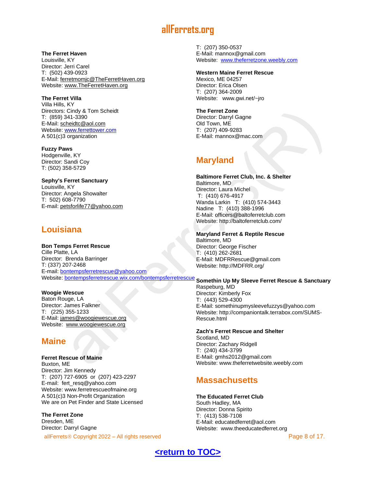**The Ferret Haven**

Louisville, KY Director: Jerri Carel T: (502) 439-0923 E-Mail: [ferretmomjc@TheFerretHaven.org](mailto:ferretmomjc@TheFerretHaven.org) Website: [www.TheFerretHaven.org](http://www.theferrethaven.org/)

#### **The Ferret Villa**

Villa Hills, KY Directors: Cindy & Tom Scheidt T: (859) 341-3390 E-Mail: [scheidtc@aol.com](mailto:scheidtc@aol.com) Website: [www.ferrettower.com](http://www.ferrettower.com/) A 501(c)3 organization

**Fuzzy Paws**  Hodgenville, KY Director: Sandi Coy T: (502) 358-5729

**Sephy's Ferret Sanctuary** Louisville, KY Director: Angela Showalter T: 502) 608-7790 E-mail: [petsforlife77@yahoo.com](mailto:petsforlife77@yahoo.com)

# <span id="page-7-0"></span>**Louisiana**

**Bon Temps Ferret Rescue** Cille Platte, LA Director: Brenda Barringer T: (337) 207-2468 E-mail: [bontempsferretrescue@yahoo.com](mailto:bontempsferretrescue@yahoo.com) Website: [bontempsferretrescue.wix.com/bontempsferretrescue](http://bontempsferretrescue.wix.com/bontempsferretrescue) **Somethin Up My Sleeve Ferret Rescue & Sanctuary**

#### **Woogie Wescue** Baton Rouge, LA Director: James Falkner T: (225) 355-1233 E-Mail: [james@woogiewescue.org](mailto:james@woogiewescue.org) Website: [www.woogiewescue.org](http://www.woogiewescue.org/)

# <span id="page-7-1"></span>**Maine**

**Ferret Rescue of Maine** Buxton, ME Director: Jim Kennedy T: (207) 727-6905 or (207) 423-2297 E-mail: fert\_resq@yahoo.com Website: [www.ferretrescueofmaine.org](http://www.ferretrescueofmaine.org/) A 501(c)3 Non-Profit Organization We are on Pet Finder and State Licensed

**The Ferret Zone** Dresden, ME Director: Darryl Gagne

allFerrets © Copyright 2022 – All rights reserved **Page 8 of 17.** All rights reserved

T: (207) 350-0537 E-Mail: [mannox@gmail.com](mailto:mannox@gmail.com) Website: [www.theferretzone.weebly.com](http://www.theferretzone.weebly.com/)

#### **Western Maine Ferret Rescue**

Mexico, ME 04257 Director: Erica Olsen T: (207) 364-2009 Website: [www.gwi.net/~jro](http://www.gwi.net/~jro)

**The Ferret Zone** Director: Darryl Gagne Old Town, ME T: (207) 409-9283 E-Mail: [mannox@mac.com](mailto:mannox@mac.com)

# <span id="page-7-2"></span>**Maryland**

**Baltimore Ferret Club, Inc. & Shelter** Baltimore, MD Director: Laura Michel T: (410) 676-4917 Wanda Larkin T: (410) 574-3443 Nadine T: (410) 388-1996 E-Mail: [officers@baltoferretclub.com](mailto:officers@baltoferretclub.com) Website: <http://baltoferretclub.com/>

**Maryland Ferret & Reptile Rescue** Baltimore, MD Director: George Fischer T: (410) 262-2681 E-Mail: [MDFRRescue@gmail.com](mailto:MDFRRescue@gmail.com) Website: [http://MDFRR.org/](http://mdfrr.org/)

Raspeburg, MD Director: Kimberly Fox T: (443) 529-4300 E-Mail: [somethinupmysleevefuzzys@yahoo.com](mailto:somethinupmysleevefuzzys@yahoo.com) Website: [http://companiontalk.terrabox.com/SUMS-](http://companiontalk.terrabox.com/SUMS-Rescue.html)[Rescue.html](http://companiontalk.terrabox.com/SUMS-Rescue.html)

**Zach's Ferret Rescue and Shelter** Scotland, MD Director: Zachary Ridgell T: (240) 434-3799 E-Mail: [gmhs2012@gmail.com](mailto:gmhs2012@gmail.com) Website: [www.theferretwebsite.weebly.com](http://www.theferretwebsite.weebly.com/)

# <span id="page-7-3"></span>**Massachusetts**

**The Educated Ferret Club** South Hadley, MA Director: Donna Spirito T: (413) 538-7108 E-Mail: [educatedferret@aol.com](mailto:educatedferret@aol.com) Website: [www.theeducatedferret.org](http://www.theeducatedferret.org/)

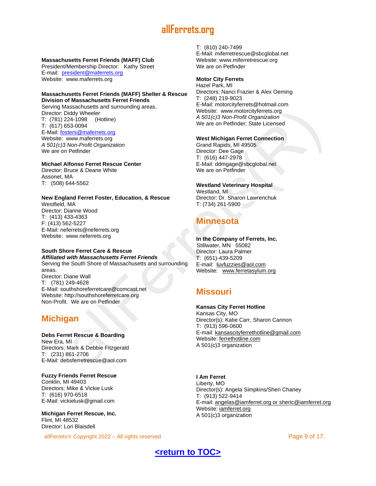#### **Massachusetts Ferret Friends (MAFF) Club**

President/Membership Director: Kathy Street E-mail: [president@maferrets.org](mailto:president@maferrets.org) Website: www.maferrets.org

#### **Massachusetts Ferret Friends (MAFF) Shelter & Rescue Division of Massachusetts Ferret Friends** Serving Massachusetts and surrounding areas.

Director: Diddy Wheeler T: (781) 224-1098 (Hotline) T: (617) 653-0094 E-Mail: [fosters@maferrets.org](mailto:fosters@maferrets.org) Website: [www.maferrets.org](http://www.maferrets.org/) *A 501(c)3 Non-Profit Organization* We are on Petfinder

#### **Michael Alfonso Ferret Rescue Center** Director: Bruce & Deane White Assonet, MA T: (508) 644-5562

**New England Ferret Foster, Education, & Rescue** Westfield, MA Director: Dianne Wood T: (413) 433-4363 F: (413) 562-5227 E-Mail: [neferrets@neferrets.org](mailto:neferrets@neferrets.org) Website: [www.neferrets.org](http://www.neferrets.org/)

#### **South Shore Ferret Care & Rescue**

*Affiliated with Massachusetts Ferret Friends* Serving the South Shore of Massachusetts and surrounding areas. Director: Diane Wall T: (781) 249-4628 E-Mail: [southshoreferretcare@comcast.net](mailto:southshoreferretcare@comcast.net) Website: [http://southshoreferretcare.org](http://southshoreferretcare.org/) Non-Profit. We are on Petfinder

# <span id="page-8-0"></span>**Michigan**

#### **Debs Ferret Rescue & Boarding** New Era, MI

Directors: Mark & Debbie Fitzgerald T: (231) 861-2706 E-Mail: [debsferretrescue@aol.com](mailto:debsferretrescue@aol.com)

#### **[Fuzzy Friends Ferret Rescue](http://www.neferrets.org/)** [Conklin, MI 49403](http://www.neferrets.org/) [Directors: Mike & Vickie Lusk](http://www.neferrets.org/) T: [\(616\) 970-6518](http://www.neferrets.org/)  [E-Mail:](http://www.neferrets.org/) [vickielusk@gmail.com](mailto:vickielusk@gmail.com)

**Michigan Ferret Rescue, Inc.** Flint, MI 48532 Director: Lori Blaisdell

allFerrets © Copyright 2022 – All rights reserved **Page 9 of 17.** All rights reserved

T: (810) 240-7499 E-Mail: [miferretrescue@sbcglobal.net](mailto:miferretrescue@sbcglobal.net) Website: [www.miferretrescue.org](http://www.miferretrescue.org/) We are on Petfinder

#### **Motor City Ferrets**

Hazel Park, MI Directors: Nanci Frazier & Alex Oeming T: (248) 219-9023 E-Mail: [motorcityferrets@hotmail.com](mailto:motorcityferrets@hotmail.com) Website: [www.motorcityferrets.org](http://www.motorcityferrets.org/) *A 501(c)3 Non-Profit Organization* We are on Petfinder; State Licensed

#### **West Michigan Ferret Connection**

Grand Rapids, MI 49505 Director: Dee Gage T: (616) 447-2978 E-Mail: [ddmgage@sbcglobal.net](mailto:ddmgage@sbcglobal.net) We are on Petfinder

#### **Westland Veterinary Hospital**

Westland, MI Director: Dr. Sharon Lawrenchuk T: (734) 261-5900

# <span id="page-8-1"></span>**Minnesota**

#### **In the Company of Ferrets, Inc.**

Stillwater, MN 55082 Director: Laura Palmer T: (651)-439-5209 E-mail: [luvfuzzies@aol.com](mailto:luvfuzzies@aol.com) Website: [www.ferretasylum.org](http://kristenmcdonald.com/portfolio/web/ferretfacts/www.ferretfacts.com/index.html)

# <span id="page-8-2"></span>**Missouri**

#### **Kansas City Ferret Hotline**

Kansas City, MO Director(s): Katie Carr, Sharon Cannon T: (913) 596-0600 E-mail: [kansascityferrethotline@gmail.com](mailto:kansascityferrethotline@gmail.com) Website: [ferrethotline.com](http://ferrethotline.com/) A 501(c)3 organization

#### **I Am Ferret**

Liberty, MO Director(s): Angela Simpkins/Sheri Chaney T: (913) 522-9414 E-mail: [angelas@iamferret.org or sheric@iamferret.org](mailto:angelas@iamferret.org%20or%20sheric@iamferret.org) Website: [iamferret.org](http://iamferret.org/) A 501(c)3 organization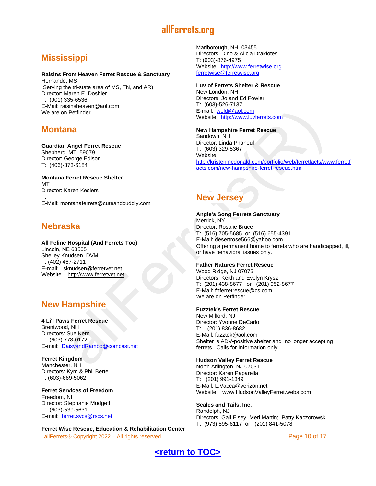# <span id="page-9-0"></span>**Mississippi**

#### **Raisins From Heaven Ferret Rescue & Sanctuary**

Hernando, MS Serving the tri-state area of MS, TN, and AR) Director: Maren E. Doshier T: (901) 335-6536 E-Mail: [raisinsheaven@aol.com](mailto:raisinsheaven@aol.com) We are on Petfinder

# <span id="page-9-1"></span>**Montana**

## **Guardian Angel Ferret Rescue**

Shepherd, MT 59079 Director: George Edison T: (406)-373-6184

#### **Montana Ferret Rescue Shelter MT** Director: Karen Keslers T:

E-Mail: [montanaferrets@cuteandcuddly.com](mailto:montanaferrets@cuteandcuddly.com)

# <span id="page-9-2"></span>**Nebraska**

**All Feline Hospital (And Ferrets Too)** Lincoln, NE 68505 Shelley Knudsen, DVM T: (402) 467-2711 E-mail: [sknudsen@ferretvet.net](mailto:sknudsen@ferretvet.net) Website : [http://www.ferretvet.net](http://kristenmcdonald.com/portfolio/web/ferretfacts/external.html?link=http://www.ferretvet.net/)

# <span id="page-9-3"></span>**New Hampshire**

#### **4 Li'l Paws Ferret Rescue** Brentwood, NH Directors: Sue Kern T: (603) 778-0172 E-mail: [DaisyandRambo@comcast.net](mailto:DaisyandRambo@comcast.net)

**Ferret Kingdom** Manchester, NH Directors: Kym & Phil Bertel T: (603)-669-5062

#### **Ferret Services of Freedom** Freedom, NH Director: Stephanie Mudgett T: (603)-539-5631 E-mail: [ferret.svcs@rscs.net](mailto:ferret.svcs@rscs.net)

allFerrets © Copyright 2022 – All rights reserved **Page 10 of 17.** All rights reserved **Page 10 of 17. Ferret Wise Rescue, Education & Rehabilitation Center**

Marlborough, NH 03455 Directors: Dino & Alicia Drakiotes T: (603)-876-4975 Website: [http://www.ferretwise.org](http://kristenmcdonald.com/portfolio/web/ferretfacts/external.html?link=http://www.ferretwise.org/) [ferretwise@ferretwise.org](mailto:ferretwise@ferretwise.org)

#### **Luv of Ferrets Shelter & Rescue**

New London, NH Directors: Jo and Ed Fowler T: (603)-526-7137 E-mail: [weldj@aol.com](mailto:weldj@aol.com) Website: [http://www.luvferrets.com](http://kristenmcdonald.com/portfolio/web/ferretfacts/external.html?link=http://www.luvferrets.com/)

#### **New Hampshire Ferret Rescue**

Sandown, NH Director: Linda Phaneuf T: (603) 329-5367 Website: [http://kristenmcdonald.com/portfolio/web/ferretfacts/www.ferretf](http://kristenmcdonald.com/portfolio/web/ferretfacts/www.ferretfacts.com/new-hampshire-ferret-rescue.html) [acts.com/new-hampshire-ferret-rescue.html](http://kristenmcdonald.com/portfolio/web/ferretfacts/www.ferretfacts.com/new-hampshire-ferret-rescue.html)

# <span id="page-9-4"></span>**New Jersey**

#### **Angie's Song Ferrets Sanctuary**

Merrick, NY Director: Rosalie Bruce T: (516) 705-5685 or (516) 655-4391 E-Mail: [desertrose566@yahoo.com](mailto:desertrose566@yahoo.com) Offering a permanent home to ferrets who are handicapped, ill, or have behavioral issues only.

#### **Father Natures Ferret Rescue**

Wood Ridge, NJ 07075 Directors: Keith and Evelyn Krysz T: (201) 438-8677 or (201) 952-8677 E-Mail: [fnferretrescue@cs.com](mailto:fnferretrescue@cs.com) We are on Petfinder

#### **Fuzztek's Ferret Rescue**

New Milford, NJ Director: Yvonne DeCarlo T: (201) 836-8682 E-Mail: [fuzztek@aol.com](mailto:fuzztek@aol.com) Shelter is ADV-positive shelter and no longer accepting ferrets. Calls for Information only.

#### **Hudson Valley Ferret Rescue**

North Arlington, NJ 07031 Director: Karen Paparella T: (201) 991-1349 E-Mail: [L.Vacca@verizon.net](mailto:L.Vacca@verizon.net) Website: [www.HudsonValleyFerret.webs.com](http://www.hudsonvalleyferret.webs.com/)

**Scales and Tails, Inc.** Randolph, NJ Directors: Gail Elsey; Meri Martin; Patty Kaczorowski T: (973) 895-6117 or (201) 841-5078

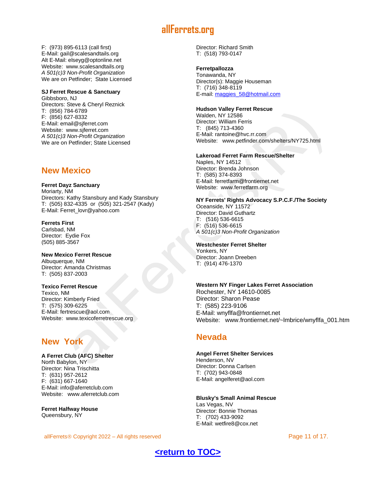F: (973) 895-6113 (call first) E-Mail: [gail@scalesandtails.org](mailto:gail@scalesandtails.org) Alt E-Mail: [elseyg@optonline.net](mailto:elseyg@optonline.net) Website: [www.scalesandtails.org](http://www.scalesandtails.org/) *A 501(c)3 Non-Profit Organization* We are on Petfinder; State Licensed

# **SJ Ferret Rescue & Sanctuary**

Gibbsboro, NJ Directors: Steve & Cheryl Reznick T: (856) 784-6789 F: (856) 627-8332 E-Mail: [email@sjferret.com](mailto:email@sjferret.com) Website: [www.sjferret.com](http://www.sjferret.com/) *A 501(c)3 Non-Profit Organization* We are on Petfinder; State Licensed

## <span id="page-10-0"></span>**New Mexico**

**Ferret Dayz Sanctuary** Moriarty, NM Directors: Kathy Stansbury and Kady Stansbury T: (505) 832-4335 or (505) 321-2547 (Kady) E-Mail: [Ferret\\_lovr@yahoo.com](mailto:Ferret_lovr@yahoo.com)

#### **Ferrets First** Carlsbad, NM

Director: Eydie Fox (505) 885-3567

#### **New Mexico Ferret Rescue** Albuquerque, NM Director: Amanda Christmas T: (505) 837-2003

#### **Texico Ferret Rescue**

Texico, NM Director: Kimberly Fried T: (575) 309-6225 E-Mail: [fertrescue@aol.com](mailto:fertrescue@aol.com) Website: [www.texicoferretrescue.org](http://www.texicoferretrescue.org/)

## **New York**

#### **A Ferret Club (AFC) Shelter** North Babylon, NY Director: Nina Trischitta T: (631) 957-2612

F: (631) 667-1640 E-Mail: [info@aferretclub.com](mailto:info@aferretclub.com) Website: [www.aferretclub.com](http://www.aferretclub.com/)

**Ferret Halfway House** Queensbury, NY

allFerrets © Copyright 2022 – All rights reserved **Page 11 of 17.** All rights reserved

Director: Richard Smith T: (518) 793-0147

#### **Ferretpallozza**

Tonawanda, NY Director(s): Maggie Houseman T: (716) 348-8119 E-mail: [maggies\\_58@hotmail.com](mailto:maggies_58@hotmail.com)

#### **Hudson Valley Ferret Rescue**

Walden, NY 12586 Director: William Ferris T: (845) 713-4360 E-Mail: [rantoine@hvc.rr.com](mailto:rantoine@hvc.rr.com) Website: [www.petfinder.com/shelters/NY725.html](http://www.petfinder.com/shelters/NY725.html)

#### **Lakeroad Ferret Farm Rescue/Shelter**

Naples, NY 14512 Director: Brenda Johnson T: (585) 374-8393 E-Mail: [ferretfarm@frontiernet.net](mailto:ferretfarm@frontiernet.net) Website: [www.ferretfarm.org](http://www.ferretfarm.org/)

#### **NY Ferrets' Rights Advocacy S.P.C.F./The Society**

Oceanside, NY 11572 Director: David Guthartz T: (516) 536-6615 F: (516) 536-6615 *A 501(c)3 Non-Profit Organization*

#### **Westchester Ferret Shelter**

Yonkers, NY Director: Joann Dreeben T: (914) 476-1370

#### **Western NY Finger Lakes Ferret Association**

Rochester, NY 14610-0085 Director: Sharon Pease T: (585) 223-9106 E-Mail: [wnyflfa@frontiernet.net](mailto:wnyflfa@frontiernet.net) Website: [www.frontiernet.net/~lmbrice/wnyflfa\\_001.htm](http://www.frontiernet.net/~lmbrice/wnyflfa_001.htm)

## <span id="page-10-1"></span>**Nevada**

#### **Angel Ferret Shelter Services** Henderson, NV Director: Donna Carlsen

T: (702) 943-0848 E-Mail: [angelferet@aol.com](mailto:angelferet@aol.com)

#### **Blusky's Small Animal Rescue**

Las Vegas, NV Director: Bonnie Thomas T: (702) 433-9092 E-Mail: [wetfire8@cox.net](mailto:wetfire8@cox.net)

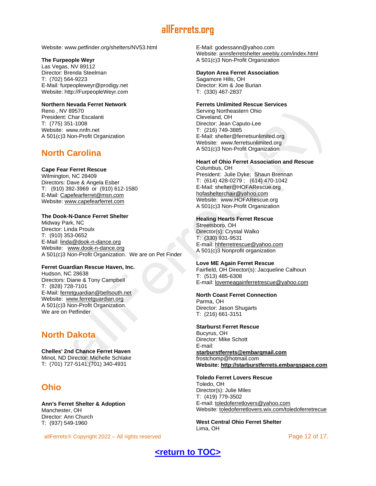Website: www.petfinder.org/shelters/NV53.html

#### **The Furpeople Weyr**

Las Vegas, NV 89112 Director: Brenda Steelman T: (702) 564-9223 E-Mail: [furpeopleweyr@prodigy.net](mailto:furpeopleweyr@prodigy.net) Website: [http://FurpeopleWeyr.com](http://furpeopleweyr.com/)

#### **Northern Nevada Ferret Network**

Reno , NV 89570 President: Char Escalanti T: (775) 351-1008 Website: [www.nnfn.net](http://www.nnfn.net/) A 501(c)3 Non-Profit Organization

# <span id="page-11-0"></span>**North Carolina**

#### **Cape Fear Ferret Rescue**

Wilmington, NC 28409 Directors: Dave & Angela Esber T: (910) 392-3969 or (910) 612-1580 E-Mail: [Capefearferret@msn.com](mailto:Capefearferret@msn.com) Website: [www.capefearferret.com](http://www.capefearferret.com/)

#### **The Dook-N-Dance Ferret Shelter**

Midway Park, NC Director: Linda Proulx T: (910) 353-0652 E-Mail: [linda@dook-n-dance.org](mailto:linda@dook-n-dance.org) Website: [www.dook-n-dance.org](http://www.dook-n-dance.org/) A 501(c)3 Non-Profit Organization. We are on Pet Finder

#### **Ferret Guardian Rescue Haven, Inc.**

Hudson, NC 28638 Directors: Diane & Tony Campbell T: (828) 728-7101 E-Mail: [ferretguardian@bellsouth.net](mailto:ferretguardian@bellsouth.net) Website: [www.ferretguardian.org](http://www.ferretguardian.org/) A 501(c)3 Non-Profit Organization. We are on Petfinder

# <span id="page-11-1"></span>**North Dakota**

**Chelles' 2nd Chance Ferret Haven** Minot, ND Director: Michelle Schlake T: (701) 727-5141;(701) 340-4931

# <span id="page-11-2"></span>**Ohio**

**Ann's Ferret Shelter & Adoption** Manchester, OH Director: Ann Church T: (937) 549-1960

allFerrets © Copyright 2022 – All rights reserved **Page 12 of 17.** All rights reserved

E-Mail: [godessann@yahoo.com](mailto:godessann@yahoo.com) Website: [annsferretshelter.weebly.com/index.html](http://annsferretshelter.weebly.com/index.html) A 501(c)3 Non-Profit Organization

#### **Dayton Area Ferret Association**

Sagamore Hills, OH Director: Kim & Joe Burian T: (330) 467-2837

#### **Ferrets Unlimited Rescue Services**

Serving Northeastern Ohio Cleveland, OH Director: Jean Caputo-Lee T: (216) 749-3885 E-Mail: [shelter@ferretsunlimited.org](mailto:shelter@ferretsunlimited.org) Website: [www.ferretsunlimited.org](http://www.ferretsunlimited.org/) A 501(c)3 Non-Profit Organization

### **Heart of Ohio Ferret Association and Rescue**

Columbus, OH President: Julie Dyke; Shaun Brennan T: (614) 428-0279 ; (614) 470-1042 E-Mail: [shelter@HOFARescue.org](mailto:shelter@HOFARescue.org) [hofashelterchair@yahoo.com](mailto:hofashelterchair@yahoo.com) Website: [www.HOFARescue.org](http://www.hofarescue.org/) A 501(c)3 Non-Profit Organization

#### **Healing Hearts Ferret Rescue**

Streetsboro, OH Director(s): Crystal Walko T: (330) 931-9531 E-mail: [hhferretrescue@yahoo.com](mailto:hhferretrescue@yahoo.com) A 501(c)3 Nonprofit organization

#### **Love ME Again Ferret Rescue**

Fairfield, OH Director(s): Jacqueline Calhoun T: (513) 485-6308 E-mail: [lovemeagainferretrescue@yahoo.com](mailto:lovemeagainferretrescue@yahoo.com)

#### **North Coast Ferret Connection**

Parma, OH Director: Jason Shugarts T: (216) 661-3151

#### **Starburst Ferret Rescue**

Bucyrus, OH Director: Mike Schott E-mail: **[starburstferrets@embarqmail.com](http://www.ferret.org/links/backups/starburstferrets@embarqmail.com)** [frostchomp@hotmail.com](http://www.ferret.org/links/frostchomp@hotmail.com) **Website[: http://starburstferrets.embarqspace.com](http://starburstferrets.embarqspace.com/)**

#### **Toledo Ferret Lovers Rescue**

Toledo, OH Director(s): Julie Miles T: (419) 779-3502 E-mail: [toledoferretlovers@yahoo.com](mailto:toledoferretlovers@yahoo.com) Website: [toledoferretlovers.wix.com/toledoferretrecue](http://toledoferretlovers.wix.com/toledoferretrecue)

**West Central Ohio Ferret Shelter** Lima, OH

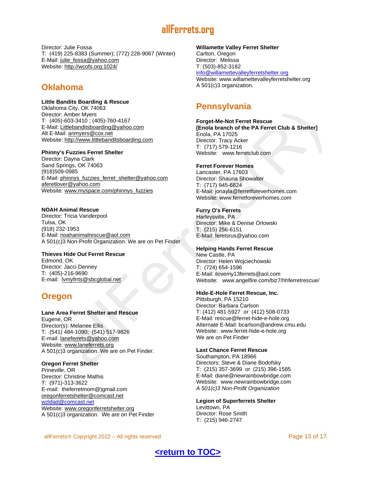Director: Julie Fossa T: (419) 225-8383 (Summer); (772) 228-9067 (Winter) E-Mail: [julie\\_fossa@yahoo.com](mailto:julie_fossa@yahoo.com) Website:<http://wcofs.org:1024/>

## <span id="page-12-0"></span>**Oklahoma**

#### **Little Bandits Boarding & Rescue** Oklahoma City, OK 74063

Director: Amber Myers T: (405)-603-3410 ; (405)-760-4167 E-Mail: [Littlebanditsboarding@yahoo.com](mailto:Littlebanditsboarding@yahoo.com) Alt E-Mail: [anmyers@cox.net](mailto:anmyers@cox.net) Website: [http://www.littlebanditsboarding.com](http://www.littlebanditsboarding.com/)

#### **Phinny's Fuzzies Ferret Shelter**

Director: Dayna Clark Sand Springs, OK 74063 (918)509-0985 E-Mail: [phinnys\\_fuzzies\\_ferret\\_shelter@yahoo.com](mailto:phinnys_fuzzies_ferret_shelter@yahoo.com) [aferetlover@yahoo.com](mailto:aferetlover@yahoo.com)  Website: [www.myspace.com/phinnys\\_fuzzies](http://www.myspace.com/phinnys_fuzzies)

#### **NOAH Animal Rescue**

Director: Tricia Vanderpool Tulsa, OK (918) 232-1953 E-Mail: [noahanimalrescue@aol.com](mailto:noahanimalrescue@aol.com) A 501(c)3 Non-Profit Organization. We are on Pet Finder

#### **Thieves Hide Out Ferret Rescue**

Edmond, OK Director: Jacci Denney T: (405)-216-9690 E-mail: [lvmyfrrts@sbcglobal.net](mailto:lvmyfrrts@sbcglobal.net)

# <span id="page-12-1"></span>**Oregon**

**Lane Area Ferret Shelter and Rescue** Eugene, OR Director(s): Melanee Ellis T: (541) 484-1090; (541) 517-9826 E-mail: [laneferrets@yahoo.com](mailto:laneferrets@yahoo.com) Website: [www.laneferrets.org](http://www.laneferrets.org/) A 501(c)3 organization. We are on Pet Finder.

**Oregon Ferret Shelter** Prineville, OR Director: Christine Mathis T: (971)-313-3622 E-mail: theferretmom@)gmail.com [oregonferretshelter@comcast.net](mailto:oregonferretshelter@comcast.net) [wzldad@comcast.net](mailto:wzldad@comcast.net) Website: [www.oregonferretshelter.org](http://www.oregonferretshelter.org/) A 501(c)3 organization. We are on Pet Finder

#### **Willamette Valley Ferret Shelter**

Carlton, Oregon Director: Melissa T: (503)-852-3182 [info@willamettevalleyferretshelter.org](mailto:info@willamettevalleyferretshelter.org)  Website: www.willamettevalleyferretshelter.org A 501(c)3 organization.

# <span id="page-12-2"></span>**Pennsylvania**

**Forget-Me-Not Ferret Rescue [Enola branch of the PA Ferret Club & Shelter]** Enola, PA 17025 Director: Tracy Acker T: (717) 579-1216 Website: [www.ferretclub.com](http://www.ferretclub.com/)

#### **Ferret Forever Homes**

Lancaster, PA 17603 Director: Shauna Showalter T: (717) 945-6824 E-Mail: [jonayla@ferretforeverhomes.com](mailto:jonayla@ferretforeverhomes.com) Website: [www.ferretforeverhomes.com](http://www.ferret.org/links/www.ferretforeverhomes.com)

#### **Furry O's Ferrets**

Harleysville, PA Director: Mike & Denise Orlowski T: (215) 256-6151 E-Mail: [feretsrus@yahoo.com](mailto:feretsrus@yahoo.com)

#### **Helping Hands Ferret Rescue**

New Castle, PA Director: Helen Wojciechowski T: (724) 654-1596 E-Mail: [ilovemy13ferrets@aol.com](mailto:ilovemy13ferrets@aol.com) Website: [www.angelfire.com/biz7/hhferretrescue/](http://www.angelfire.com/biz7/hhferretrescue/)

#### **Hide-E-Hole Ferret Rescue, Inc.**

Pittsburgh, PA 15210 Director: Barbara Carlson T: (412) 481-5927 or (412) 508-0733 E-Mail: [rescue@ferret-hide-e-hole.org](mailto:rescue@ferret-hide-e-hole.org) Alternate E-Mail: [bcarlson@andrew.cmu.edu](mailto:bcarlson@andrew.cmu.edu) Website: [www.ferret-hide-e-hole.org](http://www.ferret-hide-e-hole.org/) We are on Pet Finder

#### **Last Chance Ferret Rescue**

Southampton, PA 18966 Directors: Steve & Diane Bodofsky T: (215) 357-3699 or (215) 396-1585 E-Mail: [diane@newrainbowbridge.com](mailto:diane@newrainbowbridge.com) Website: [www.newrainbowbridge.com](http://www.newrainbowbridge.com/) *A 501(c)3 Non-Profit Organization*

#### **Legion of Superferrets Shelter**

Levittown, PA Director: Rose Smith T: (215) 946-2747

allFerrets © Copyright 2022 – All rights reserved **Page 13 of 17.** All rights reserved

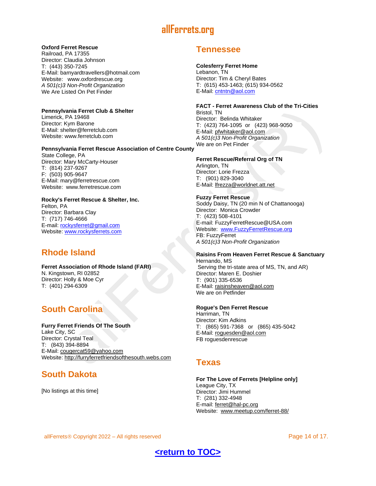#### **Oxford Ferret Rescue**

Railroad, PA 17355 Director: Claudia Johnson T: (443) 350-7245 E-Mail: [barnyardtravellers@hotmail.com](mailto:barnyardtravellers@hotmail.com) Website: [www.oxfordrescue.org](http://www.oxfordrescue.org/) *A 501(c)3 Non-Profit Organization* We Are Listed On Pet Finder

#### **Pennsylvania Ferret Club & Shelter**

Limerick, PA 19468 Director: Kym Barone E-Mail: [shelter@ferretclub.com](mailto:shelter@ferretclub.com) Website: [www.ferretclub.com](http://www.ferretclub.com/)

#### **Pennsylvania Ferret Rescue Association of Centre County**

State College, PA Director: Mary McCarty-Houser T: (814) 237-9267 F: (503) 905-9647 E-Mail: [mary@ferretrescue.com](mailto:mary@ferretrescue.com) Website: [www.ferretrescue.com](http://www.ferretrescue.com/)

#### **Rocky's Ferret Rescue & Shelter, Inc.**

Felton, PA Director: Barbara Clay T: (717) 746-4666 E-mail: [rockysferret@gmail.com](mailto:rockysferret@gmail.com) Website: [www.rockysferrets.com](http://www.rockysferrets.com/)

# <span id="page-13-0"></span>**Rhode Island**

#### **Ferret Association of Rhode Island (FARI)** N. Kingstown, RI 02852 Director: Holly & Moe Cyr T: (401) 294-6309

# <span id="page-13-1"></span>**South Carolina**

#### **Furry Ferret Friends Of The South** Lake City, SC Director: Crystal Teal T: (843) 394-8894 E-Mail: [cougercat59@yahoo.com](mailto:cougercat59@yahoo.com)

Website: [http://furryferretfriendsofthesouth.webs.com](http://furryferretfriendsofthesouth.webs.com/)

# <span id="page-13-2"></span>**South Dakota**

[No listings at this time]

## <span id="page-13-3"></span>**Tennessee**

#### **Colesferry Ferret Home**

Lebanon, TN Director: Tim & Cheryl Bates T: (615) 453-1463; (615) 934-0562 E-Mail: [cntntn@aol.com](mailto:cntntn@aol.com)

#### **FACT - Ferret Awareness Club of the Tri-Cities**

Bristol, TN Director: Belinda Whitaker T: (423) 764-1095 or (423) 968-9050 E-Mail: [pfwhitaker@aol.com](mailto:pfwhitaker@aol.com) *A 501(c)3 Non-Profit Organization* We are on Pet Finder

#### **Ferret Rescue/Referral Org of TN**

Arlington, TN Director: Lorie Frezza T: (901) 829-3040 E-Mail: [lfrezza@worldnet.att.net](mailto:lfrezza@worldnet.att.net)

#### **Fuzzy Ferret Rescue**

Soddy Daisy, TN (20 min N of Chattanooga) Director: Monica Crowder T: (423) 508-4101 E-mail: FuzzyFerretRescue@USA.com Website: [www.FuzzyFerretRescue.org](http://www.fuzzyferretrescue.org/) FB: FuzzyFerret *A 501(c)3 Non-Profit Organization*

#### **Raisins From Heaven Ferret Rescue & Sanctuary** Hernando, MS

Serving the tri-state area of MS, TN, and AR) Director: Maren E. Doshier T: (901) 335-6536 E-Mail: [raisinsheaven@aol.com](mailto:raisinsheaven@aol.com) We are on Petfinder

#### **Rogue's Den Ferret Rescue**

Harriman, TN Director: Kim Adkins T: (865) 591-7368 or (865) 435-5042 E-Mail: [roguesden@aol.com](mailto:roguesden@aol.com) FB roguesdenrescue

## <span id="page-13-4"></span>**Texas**

**For The Love of Ferrets [Helpline only]** League City, TX Director: Jimi Hummel T: (281) 332-4948 E-mail: [ferret@hal-pc.org](mailto:ferret@hal-pc.org) Website: [www.meetup.com/ferret-88/](http://www.meetup.com/ferret-88/)

allFerrets © Copyright 2022 – All rights reserved **Page 14 of 17.** All rights reserved



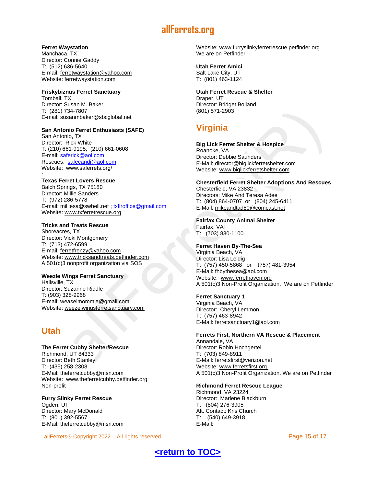#### **Ferret Waystation**

Manchaca, TX Director: Connie Gaddy T: (512) 636-5640 E-mail: [ferretwaystation@yahoo.com](mailto:ferretwaystation@yahoo.com) Website: [ferretwaystation.com](http://ferretwaystation.com/)

#### **Friskybiznus Ferret Sanctuary**

Tomball, TX Director: Susan M. Baker T: (281) 734-7807 E-mail: [susanmbaker@sbcglobal.net](mailto:susanmbaker@sbcglobal.net)

#### **San Antonio Ferret Enthusiasts (SAFE)**

San Antonio, TX Director: Rick White T: (210) 661-9195; (210) 661-0608 E-mail: [saferick@aol.com](mailto:saferick@aol.com?subject=General%20Inquiries) Rescues: [safecandi@aol.com](mailto:safecandi@aol.com?subject=Shelter/Rescue) Website: www.saferrets.org/

#### : **Texas Ferret Lovers Rescue**

Balch Springs, TX 75180 Director: Millie Sanders T: (972) 286-5778 E-mail: [milliesa@swbell.net](mailto:milliesa@swbell.net) [; txflroffice@gmail.com](mailto:txflroffice@gmail.com) Website: [www.txferretrescue.org](http://www.txferretrescue.org/)

#### **Tricks and Treats Rescue**

Shoreacres, TX Director: Vicki Montgomery T: (713) 472-6599 E-mail: [ferretfrenzy@yahoo.com](mailto:ferretfrenzy@yahoo.com) Website: [www.tricksandtreats.petfinder.com](http://www.tricksandtreats.petfinder.com/) A 501(c)3 nonprofit organization via SOS

#### **Weezle Wings Ferret Sanctuary**

Hallsville, TX Director: Suzanne Riddle T: (903) 328-9968 E-mail: [weaselmommie@gmail.com](mailto:weaselmommie@gmail.com) Website: [weezelwingsferretsanctuary.com](http://weezelwingsferretsanctuary.com/)

# <span id="page-14-0"></span>**Utah**

**The Ferret Cubby Shelter/Rescue** Richmond, UT 84333 Director: Beth Stanley T: (435) 258-2308 E-Mail: [theferretcubby@msn.com](mailto:theferretcubby@msn.com) Website: [www.theferretcubby.petfinder.org](http://www.theferretcubby.petfinder.org/) Non-profit

**Furry Slinky Ferret Rescue** Ogden, UT Director: Mary McDonald T: (801) 392-5567 E-Mail: [theferretcubby@msn.com](mailto:furryslinky@live.com)

allFerrets © Copyright 2022 – All rights reserved **Page 15 of 17.** All rights reserved

Website: [www.furryslinkyferretrescue.petfinder.org](http://www.furryslinkyferretrescue.petfinder.org/) We are on Petfinder

#### **Utah Ferret Amici** Salt Lake City, UT

T: (801) 463-1124

#### **Utah Ferret Rescue & Shelter** Draper, UT

Director: Bridget Bolland (801) 571-2903

# <span id="page-14-1"></span>**Virginia**

#### **Big Lick Ferret Shelter & Hospice** Roanoke, VA

Director: Debbie Saunders E-Mail: [director@biglickferretshelter.com](mailto:director@biglickferretshelter.com) Website: [www.biglickferretshelter.com](http://www.ferret.org/links/www.biglickferretshelter.coml)

**Chesterfield Ferret Shelter Adoptions And Rescues** Chesterfield, VA 23832 Directors: Mike And Teresa Adee T: (804) 864-0707 or (804) 245-6411

E-Mail: [mikeandtad80@comcast.net](mailto:mikeandtad80@comcast.net)

**Fairfax County Animal Shelter** Fairfax, VA T: (703) 830-1100

#### **Ferret Haven By-The-Sea**

Virginia Beach, VA Director: Lisa Leidig T: (757) 450-5868 or (757) 481-3954 E-Mail: [fhbythesea@aol.com](mailto:fhbythesea@aol.com) Website: [www.ferrethaven.org](http://www.ferrethaven.org/) A 501(c)3 Non-Profit Organization. We are on Petfinder

#### **Ferret Sanctuary 1**

Virginia Beach, VA Director: Cheryl Lemmon T: (757) 463-8942 E-Mail: [ferretsanctuary1@aol.com](mailto:ferretsanctuary1@aol.com)

**Ferrets First, Northern VA Rescue & Placement** Annandale, VA Director: Robin Hochgertel T: (703) 849-8911 E-Mail: [ferretsfirst@verizon.net](mailto:ferretsfirst@verizon.net) Website: [www.ferretsfirst.org](http://www.ferretsfirst.org/)

A 501(c)3 Non-Profit Organization. We are on Petfinder

#### **Richmond Ferret Rescue League**

Richmond, VA 23224 Director: Marlene Blackburn T: (804) 276-3905 Alt. Contact: Kris Church T: (540) 649-3918 E-Mail:

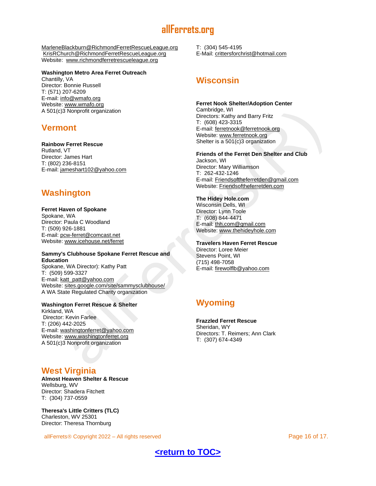[MarleneBlackburn@RichmondFerretRescueLeague.org](mailto:MarleneBlackburn@RichmondFerretRescueLeague.org) [KrisRChurch@RichmondFerretRescueLeague.org](mailto:KrisRChurch@RichmondFerretRescueLeague.org) Website: [www.richmondferretrescueleague.org](http://www.richmondferretrescueleague.org/)

#### **Washington Metro Area Ferret Outreach**

Chantilly, VA Director: Bonnie Russell T: (571) 207-6209 E-mail: [info@wmafo.org](mailto:info@wmafo.org) Website: [www.wmafo.org](http://www.wmafo.org/) A 501(c)3 Nonprofit organization

## <span id="page-15-0"></span>**Vermont**

**Rainbow Ferret Rescue** Rutland, VT Director: James Hart T: (802) 236-8151 E-mail: [jameshart102@yahoo.com](mailto:jameshart102@yahoo.com)

# <span id="page-15-1"></span>**Washington**

#### **Ferret Haven of Spokane**

Spokane, WA Director: Paula C Woodland T: (509) 926-1881 E-mail: [pcw-ferret@comcast.net](mailto:pcw-ferret@comcast.net) Website: [www.icehouse.net/ferret](http://www.icehouse.net/ferret)

#### **Sammy's Clubhouse Spokane Ferret Rescue and Education**

Spokane, WA Director): Kathy Patt T: (509) 599-3327 E-mail: [katt\\_patt@yahoo.com](mailto:katt_patt@yahoo.com) Website: [sites.google.com/site/sammysclubhouse/](http://sites.google.com/site/sammysclubhouse/) A WA State Regulated Charity organization

#### **Washington Ferret Rescue & Shelter**

Kirkland, WA Director: Kevin Farlee T: (206) 442-2025 E-mail: [washingtonferret@yahoo.com](mailto:washingtonferret@yahoo.com) Website: [www.washingtonferret.org](http://www.washingtonferret.org/) A 501(c)3 Nonprofit organization

# <span id="page-15-2"></span>**West Virginia**

**Almost Heaven Shelter & Rescue** Wellsburg, WV Director: Shadera Fitchett T: (304) 737-0559

**Theresa's Little Critters (TLC)** Charleston, WV 25301 Director: Theresa Thornburg

allFerrets © Copyright 2022 – All rights reserved **Page 16 of 17.** All rights reserved **Page 16 of 17.** 

T: (304) 545-4195 E-Mail: [crittersforchrist@hotmail.com](mailto:crittersforchrist@hotmail.com)

# <span id="page-15-3"></span>**Wisconsin**

#### **Ferret Nook Shelter/Adoption Center** Cambridge, WI

Directors: Kathy and Barry Fritz T: (608) 423-3315 E-mail: [ferretnook@ferretnook.org](mailto:ferretnook@ferretnook.org) Website: [www.ferretnook.org](http://www.ferretnook.org/) Shelter is a 501(c)3 organization

**Friends of the Ferret Den Shelter and Club**

Jackson, WI Director: Mary Williamson T: 262-432-1246 E-mail: [Friendsoftheferretden@gmail.com](mailto:Friendsoftheferretden@gmail.com) Website: [Friendsoftheferretden.com](http://www.friendsoftheferretden.com/)

#### **The Hidey Hole.com**

Wisconsin Dells, WI Director: Lynn Toole T: (608) 844-4471 E-mail: [thh.com@gmail.com](mailto:thh.com@gmail.com) Website: [www.thehideyhole.com](http://www.thehideyhole.com/)

#### **Travelers Haven Ferret Rescue**

Director: Loree Meier Stevens Point, WI (715) 498-7058 E-mail: [firewolflb@yahoo.com](mailto:firewolflb@yahoo.com)

# <span id="page-15-4"></span>**Wyoming**

**Frazzled Ferret Rescue**

Sheridan, WY Directors: T. Reimers; Ann Clark T: (307) 674-4349